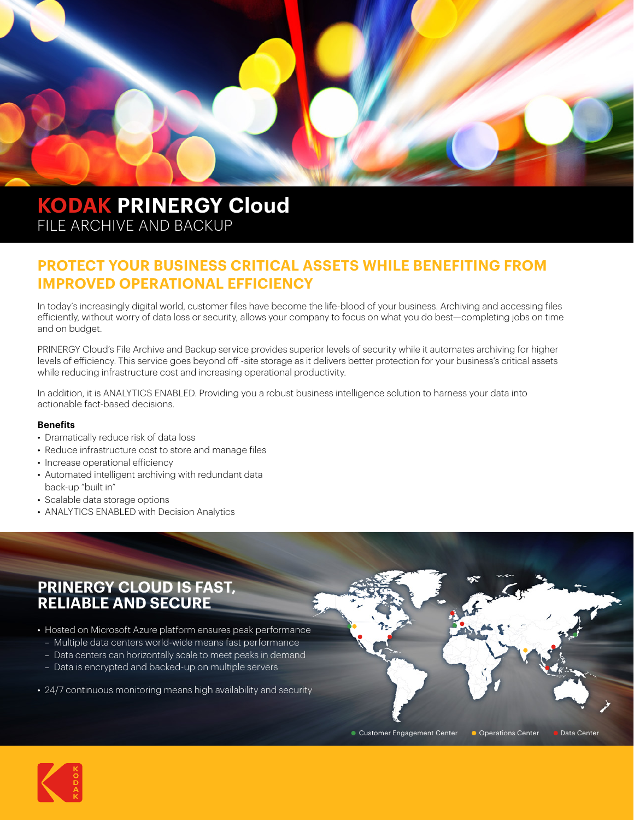

# **KODAK PRINERGY Cloud**  FILE ARCHIVE AND BACKUP

## **PROTECT YOUR BUSINESS CRITICAL ASSETS WHILE BENEFITING FROM IMPROVED OPERATIONAL EFFICIENCY**

In today's increasingly digital world, customer files have become the life-blood of your business. Archiving and accessing files efficiently, without worry of data loss or security, allows your company to focus on what you do best—completing jobs on time and on budget.

PRINERGY Cloud's File Archive and Backup service provides superior levels of security while it automates archiving for higher levels of efficiency. This service goes beyond off -site storage as it delivers better protection for your business's critical assets while reducing infrastructure cost and increasing operational productivity.

In addition, it is ANALYTICS ENABLED. Providing you a robust business intelligence solution to harness your data into actionable fact-based decisions.

#### **Benefits**

- Dramatically reduce risk of data loss
- Reduce infrastructure cost to store and manage files
- Increase operational efficiency
- Automated intelligent archiving with redundant data back-up "built in"
- Scalable data storage options
- ANALYTICS ENABLED with Decision Analytics

## **PRINERGY CLOUD IS FAST, RELIABLE AND SECURE**

- Hosted on Microsoft Azure platform ensures peak performance – Multiple data centers world-wide means fast performance
	- Data centers can horizontally scale to meet peaks in demand
	- Data is encrypted and backed-up on multiple servers
- 24/7 continuous monitoring means high availability and security



**Customer Engagement Center Conterations Center Conter Cata Center**